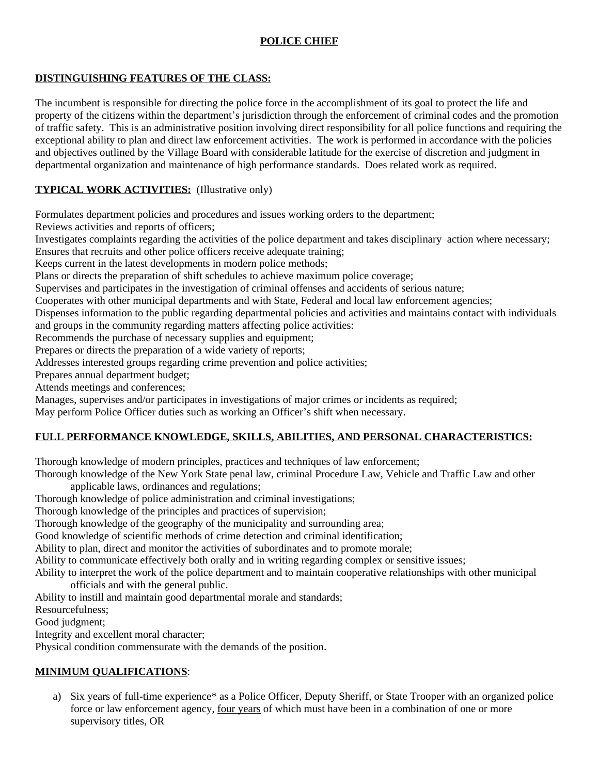# **POLICE CHIEF**

#### **DISTINGUISHING FEATURES OF THE CLASS:**

The incumbent is responsible for directing the police force in the accomplishment of its goal to protect the life and property of the citizens within the department's jurisdiction through the enforcement of criminal codes and the promotion of traffic safety. This is an administrative position involving direct responsibility for all police functions and requiring the exceptional ability to plan and direct law enforcement activities. The work is performed in accordance with the policies and objectives outlined by the Village Board with considerable latitude for the exercise of discretion and judgment in departmental organization and maintenance of high performance standards. Does related work as required.

### **TYPICAL WORK ACTIVITIES:** (Illustrative only)

Formulates department policies and procedures and issues working orders to the department;

Reviews activities and reports of officers;

Investigates complaints regarding the activities of the police department and takes disciplinary action where necessary; Ensures that recruits and other police officers receive adequate training;

Keeps current in the latest developments in modern police methods;

Plans or directs the preparation of shift schedules to achieve maximum police coverage;

Supervises and participates in the investigation of criminal offenses and accidents of serious nature;

Cooperates with other municipal departments and with State, Federal and local law enforcement agencies;

Dispenses information to the public regarding departmental policies and activities and maintains contact with individuals and groups in the community regarding matters affecting police activities:

Recommends the purchase of necessary supplies and equipment;

Prepares or directs the preparation of a wide variety of reports;

Addresses interested groups regarding crime prevention and police activities;

Prepares annual department budget;

Attends meetings and conferences;

Manages, supervises and/or participates in investigations of major crimes or incidents as required;

May perform Police Officer duties such as working an Officer's shift when necessary.

#### **FULL PERFORMANCE KNOWLEDGE, SKILLS, ABILITIES, AND PERSONAL CHARACTERISTICS:**

Thorough knowledge of modern principles, practices and techniques of law enforcement;

Thorough knowledge of the New York State penal law, criminal Procedure Law, Vehicle and Traffic Law and other applicable laws, ordinances and regulations;

Thorough knowledge of police administration and criminal investigations;

Thorough knowledge of the principles and practices of supervision;

Thorough knowledge of the geography of the municipality and surrounding area;

Good knowledge of scientific methods of crime detection and criminal identification;

Ability to plan, direct and monitor the activities of subordinates and to promote morale;

Ability to communicate effectively both orally and in writing regarding complex or sensitive issues;

Ability to interpret the work of the police department and to maintain cooperative relationships with other municipal officials and with the general public.

Ability to instill and maintain good departmental morale and standards;

Resourcefulness;

Good judgment;

Integrity and excellent moral character;

Physical condition commensurate with the demands of the position.

## **MINIMUM QUALIFICATIONS**:

a) Six years of full-time experience\* as a Police Officer, Deputy Sheriff, or State Trooper with an organized police force or law enforcement agency, four years of which must have been in a combination of one or more supervisory titles, OR